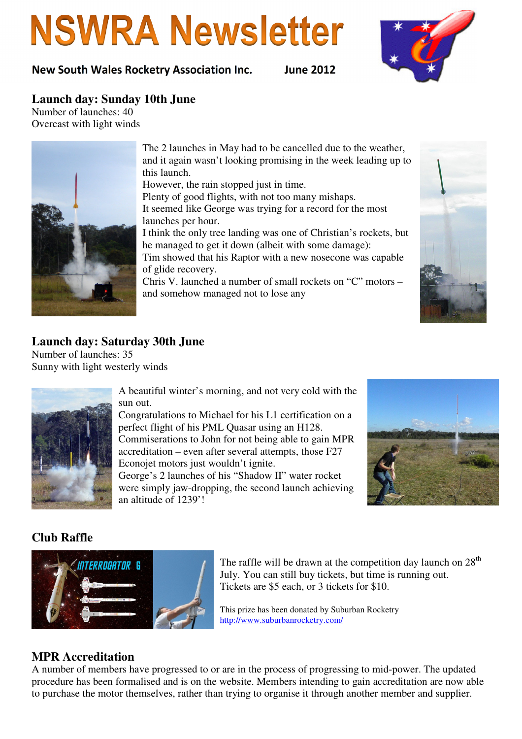# **NSWRA Newsletter**

New South Wales Rocketry Association Inc. June 2012



#### **Launch day: Sunday 10th June**

Number of launches: 40 Overcast with light winds



The 2 launches in May had to be cancelled due to the weather, and it again wasn't looking promising in the week leading up to this launch.

However, the rain stopped just in time.

Plenty of good flights, with not too many mishaps. It seemed like George was trying for a record for the most launches per hour.

I think the only tree landing was one of Christian's rockets, but he managed to get it down (albeit with some damage): Tim showed that his Raptor with a new nosecone was capable of glide recovery.

Chris V. launched a number of small rockets on "C" motors – and somehow managed not to lose any



#### **Launch day: Saturday 30th June**

Number of launches: 35 Sunny with light westerly winds



A beautiful winter's morning, and not very cold with the sun out.

Congratulations to Michael for his L1 certification on a perfect flight of his PML Quasar using an H128. Commiserations to John for not being able to gain MPR accreditation – even after several attempts, those F27 Econojet motors just wouldn't ignite.

George's 2 launches of his "Shadow II" water rocket were simply jaw-dropping, the second launch achieving an altitude of 1239'!



### **Club Raffle**



The raffle will be drawn at the competition day launch on  $28<sup>th</sup>$ July. You can still buy tickets, but time is running out. Tickets are \$5 each, or 3 tickets for \$10.

This prize has been donated by Suburban Rocketry http://www.suburbanrocketry.com/

#### **MPR Accreditation**

A number of members have progressed to or are in the process of progressing to mid-power. The updated procedure has been formalised and is on the website. Members intending to gain accreditation are now able to purchase the motor themselves, rather than trying to organise it through another member and supplier.